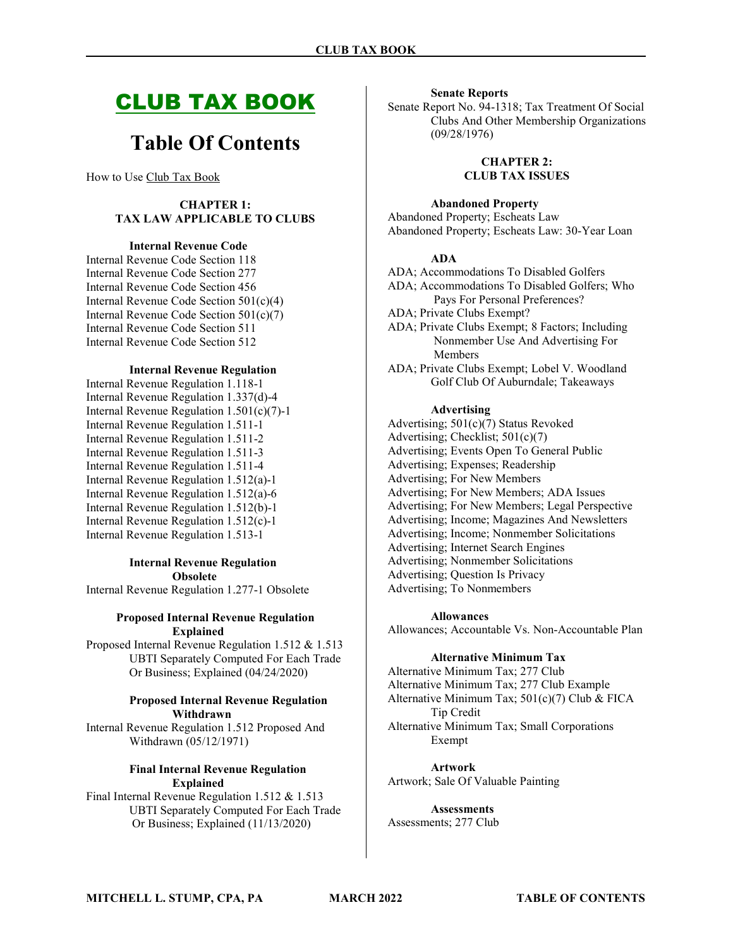# CLUB TAX BOOK

# Table Of Contents

How to Use Club Tax Book

### CHAPTER 1: TAX LAW APPLICABLE TO CLUBS

#### Internal Revenue Code

Internal Revenue Code Section 118 Internal Revenue Code Section 277 Internal Revenue Code Section 456 Internal Revenue Code Section 501(c)(4) Internal Revenue Code Section 501(c)(7) Internal Revenue Code Section 511 Internal Revenue Code Section 512

#### Internal Revenue Regulation

Internal Revenue Regulation 1.118-1 Internal Revenue Regulation 1.337(d)-4 Internal Revenue Regulation 1.501(c)(7)-1 Internal Revenue Regulation 1.511-1 Internal Revenue Regulation 1.511-2 Internal Revenue Regulation 1.511-3 Internal Revenue Regulation 1.511-4 Internal Revenue Regulation 1.512(a)-1 Internal Revenue Regulation 1.512(a)-6 Internal Revenue Regulation 1.512(b)-1 Internal Revenue Regulation 1.512(c)-1 Internal Revenue Regulation 1.513-1

### Internal Revenue Regulation Obsolete

Internal Revenue Regulation 1.277-1 Obsolete

#### Proposed Internal Revenue Regulation Explained

Proposed Internal Revenue Regulation 1.512 & 1.513 UBTI Separately Computed For Each Trade Or Business; Explained (04/24/2020)

#### Proposed Internal Revenue Regulation Withdrawn

Internal Revenue Regulation 1.512 Proposed And Withdrawn (05/12/1971)

#### Final Internal Revenue Regulation Explained

Final Internal Revenue Regulation 1.512 & 1.513 UBTI Separately Computed For Each Trade Or Business; Explained (11/13/2020)

#### Senate Reports

Senate Report No. 94-1318; Tax Treatment Of Social Clubs And Other Membership Organizations (09/28/1976)

> CHAPTER 2: CLUB TAX ISSUES

Abandoned Property

Abandoned Property; Escheats Law Abandoned Property; Escheats Law: 30-Year Loan

#### ADA

ADA; Accommodations To Disabled Golfers ADA; Accommodations To Disabled Golfers; Who Pays For Personal Preferences? ADA; Private Clubs Exempt? ADA; Private Clubs Exempt; 8 Factors; Including Nonmember Use And Advertising For Members ADA; Private Clubs Exempt; Lobel V. Woodland

Golf Club Of Auburndale; Takeaways

#### Advertising

Advertising; 501(c)(7) Status Revoked Advertising; Checklist; 501(c)(7) Advertising; Events Open To General Public Advertising; Expenses; Readership Advertising; For New Members Advertising; For New Members; ADA Issues Advertising; For New Members; Legal Perspective Advertising; Income; Magazines And Newsletters Advertising; Income; Nonmember Solicitations Advertising; Internet Search Engines Advertising; Nonmember Solicitations Advertising; Question Is Privacy Advertising; To Nonmembers

#### Allowances

Allowances; Accountable Vs. Non-Accountable Plan

#### Alternative Minimum Tax

Alternative Minimum Tax; 277 Club Alternative Minimum Tax; 277 Club Example Alternative Minimum Tax; 501(c)(7) Club & FICA Tip Credit Alternative Minimum Tax; Small Corporations Exempt

Artwork Artwork; Sale Of Valuable Painting

**Assessments** Assessments; 277 Club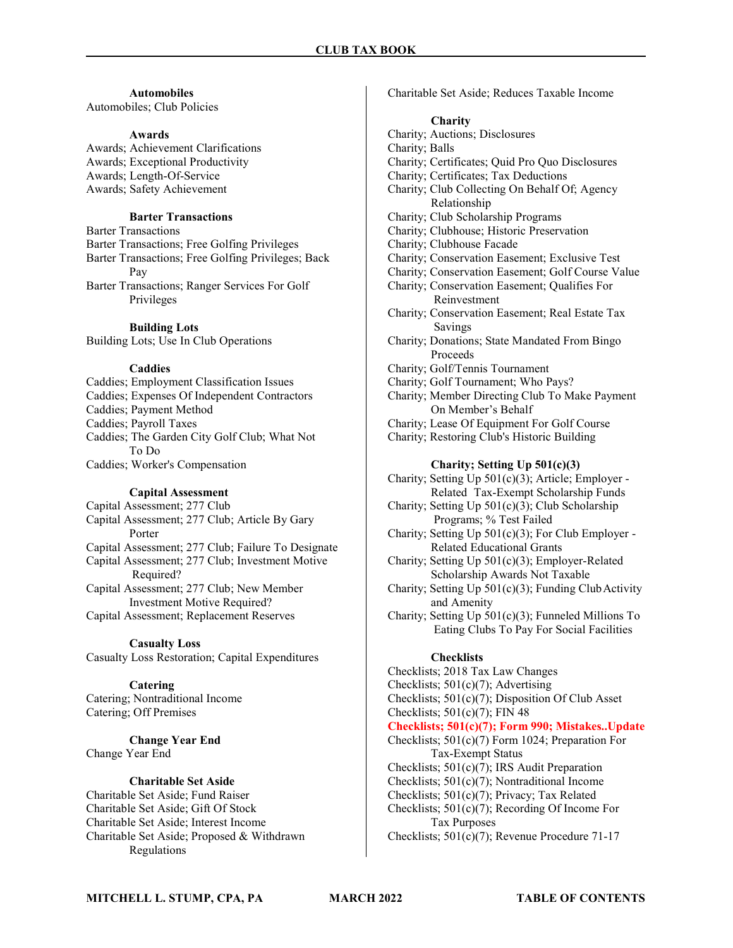### Automobiles

Automobiles; Club Policies

#### Awards

Awards; Achievement Clarifications Awards; Exceptional Productivity Awards; Length-Of-Service Awards; Safety Achievement

### Barter Transactions

Barter Transactions Barter Transactions; Free Golfing Privileges Barter Transactions; Free Golfing Privileges; Back Pay

Barter Transactions; Ranger Services For Golf Privileges

#### Building Lots

Building Lots; Use In Club Operations

#### Caddies

Caddies; Employment Classification Issues Caddies; Expenses Of Independent Contractors Caddies; Payment Method Caddies; Payroll Taxes Caddies; The Garden City Golf Club; What Not To Do Caddies; Worker's Compensation

#### Capital Assessment

Capital Assessment; 277 Club Capital Assessment; 277 Club; Article By Gary Porter Capital Assessment; 277 Club; Failure To Designate Capital Assessment; 277 Club; Investment Motive Required? Capital Assessment; 277 Club; New Member Investment Motive Required?

Capital Assessment; Replacement Reserves

### Casualty Loss

Casualty Loss Restoration; Capital Expenditures

#### **Catering**

Catering; Nontraditional Income Catering; Off Premises

Change Year End Change Year End

#### Charitable Set Aside

Charitable Set Aside; Fund Raiser Charitable Set Aside; Gift Of Stock Charitable Set Aside; Interest Income Charitable Set Aside; Proposed & Withdrawn Regulations

Charitable Set Aside; Reduces Taxable Income

#### **Charity**

Charity; Auctions; Disclosures Charity; Balls Charity; Certificates; Quid Pro Quo Disclosures Charity; Certificates; Tax Deductions Charity; Club Collecting On Behalf Of; Agency Relationship Charity; Club Scholarship Programs Charity; Clubhouse; Historic Preservation Charity; Clubhouse Facade Charity; Conservation Easement; Exclusive Test Charity; Conservation Easement; Golf Course Value Charity; Conservation Easement; Qualifies For Reinvestment Charity; Conservation Easement; Real Estate Tax Savings Charity; Donations; State Mandated From Bingo Proceeds Charity; Golf/Tennis Tournament Charity; Golf Tournament; Who Pays? Charity; Member Directing Club To Make Payment On Member's Behalf Charity; Lease Of Equipment For Golf Course Charity; Restoring Club's Historic Building Charity; Setting Up 501(c)(3) Charity; Setting Up 501(c)(3); Article; Employer - Related Tax-Exempt Scholarship Funds Charity; Setting Up 501(c)(3); Club Scholarship Programs; % Test Failed Charity; Setting Up 501(c)(3); For Club Employer - Related Educational Grants Charity; Setting Up 501(c)(3); Employer-Related Scholarship Awards Not Taxable Charity; Setting Up 501(c)(3); Funding Club Activity and Amenity Charity; Setting Up 501(c)(3); Funneled Millions To Eating Clubs To Pay For Social Facilities **Checklists** 

Checklists; 2018 Tax Law Changes

Checklists; 501(c)(7); Advertising

Checklists; 501(c)(7); Disposition Of Club Asset Checklists;  $501(c)(7)$ ; FIN 48

Checklists; 501(c)(7); Form 990; Mistakes..Update

- Checklists; 501(c)(7) Form 1024; Preparation For Tax-Exempt Status
- Checklists; 501(c)(7); IRS Audit Preparation
- Checklists; 501(c)(7); Nontraditional Income
- Checklists; 501(c)(7); Privacy; Tax Related Checklists; 501(c)(7); Recording Of Income For

 Tax Purposes Checklists; 501(c)(7); Revenue Procedure 71-17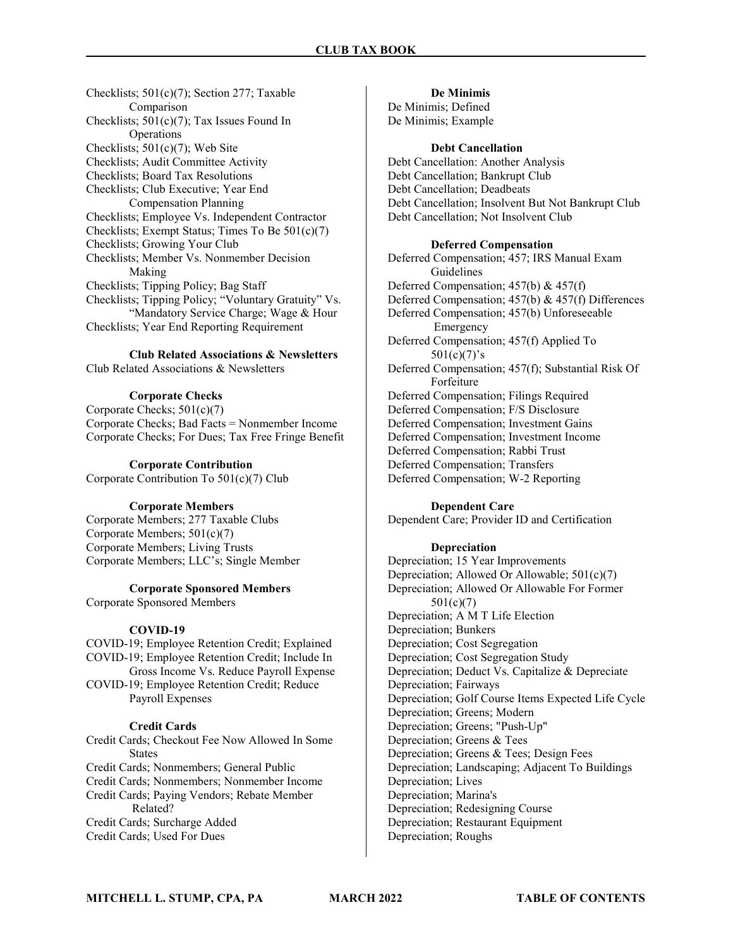Checklists; 501(c)(7); Section 277; Taxable Comparison Checklists; 501(c)(7); Tax Issues Found In Operations Checklists; 501(c)(7); Web Site Checklists; Audit Committee Activity Checklists; Board Tax Resolutions Checklists; Club Executive; Year End Compensation Planning Checklists; Employee Vs. Independent Contractor Checklists; Exempt Status; Times To Be 501(c)(7) Checklists; Growing Your Club Checklists; Member Vs. Nonmember Decision Making Checklists; Tipping Policy; Bag Staff Checklists; Tipping Policy; "Voluntary Gratuity" Vs. "Mandatory Service Charge; Wage & Hour Checklists; Year End Reporting Requirement

Club Related Associations & Newsletters Club Related Associations & Newsletters

### Corporate Checks

Corporate Checks; 501(c)(7) Corporate Checks; Bad Facts = Nonmember Income Corporate Checks; For Dues; Tax Free Fringe Benefit

#### Corporate Contribution

Corporate Contribution To 501(c)(7) Club

### Corporate Members

Corporate Members; 277 Taxable Clubs Corporate Members; 501(c)(7) Corporate Members; Living Trusts Corporate Members; LLC's; Single Member

### Corporate Sponsored Members

Corporate Sponsored Members

#### COVID-19

COVID-19; Employee Retention Credit; Explained COVID-19; Employee Retention Credit; Include In Gross Income Vs. Reduce Payroll Expense COVID-19; Employee Retention Credit; Reduce Payroll Expenses

#### Credit Cards

Credit Cards; Checkout Fee Now Allowed In Some **States** Credit Cards; Nonmembers; General Public Credit Cards; Nonmembers; Nonmember Income Credit Cards; Paying Vendors; Rebate Member Related? Credit Cards; Surcharge Added Credit Cards; Used For Dues

### De Minimis

De Minimis; Defined De Minimis; Example

#### Debt Cancellation

Debt Cancellation: Another Analysis Debt Cancellation; Bankrupt Club Debt Cancellation; Deadbeats Debt Cancellation; Insolvent But Not Bankrupt Club Debt Cancellation; Not Insolvent Club

### Deferred Compensation

Deferred Compensation; 457; IRS Manual Exam Guidelines Deferred Compensation; 457(b) & 457(f) Deferred Compensation; 457(b) & 457(f) Differences Deferred Compensation; 457(b) Unforeseeable Emergency Deferred Compensation; 457(f) Applied To  $501(c)(7)'s$ Deferred Compensation; 457(f); Substantial Risk Of Forfeiture Deferred Compensation; Filings Required Deferred Compensation; F/S Disclosure Deferred Compensation; Investment Gains Deferred Compensation; Investment Income Deferred Compensation; Rabbi Trust Deferred Compensation; Transfers Deferred Compensation; W-2 Reporting

### Dependent Care

Dependent Care; Provider ID and Certification

#### Depreciation

Depreciation; 15 Year Improvements Depreciation; Allowed Or Allowable; 501(c)(7) Depreciation; Allowed Or Allowable For Former 501(c)(7) Depreciation; A M T Life Election Depreciation; Bunkers Depreciation; Cost Segregation Depreciation; Cost Segregation Study Depreciation; Deduct Vs. Capitalize & Depreciate Depreciation; Fairways Depreciation; Golf Course Items Expected Life Cycle Depreciation; Greens; Modern Depreciation; Greens; "Push-Up" Depreciation; Greens & Tees Depreciation; Greens & Tees; Design Fees Depreciation; Landscaping; Adjacent To Buildings Depreciation; Lives Depreciation; Marina's Depreciation; Redesigning Course Depreciation; Restaurant Equipment Depreciation; Roughs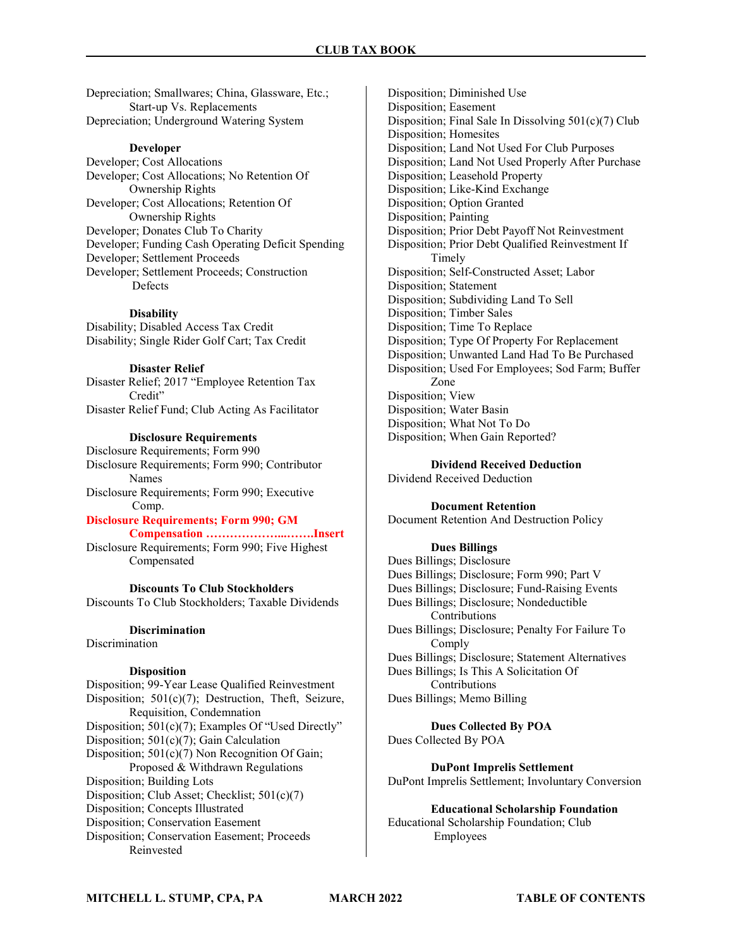Depreciation; Smallwares; China, Glassware, Etc.; Start-up Vs. Replacements Depreciation; Underground Watering System

#### Developer

Developer; Cost Allocations Developer; Cost Allocations; No Retention Of Ownership Rights Developer; Cost Allocations; Retention Of Ownership Rights Developer; Donates Club To Charity Developer; Funding Cash Operating Deficit Spending Developer; Settlement Proceeds Developer; Settlement Proceeds; Construction Defects

#### **Disability**

Disability; Disabled Access Tax Credit Disability; Single Rider Golf Cart; Tax Credit

#### Disaster Relief

Disaster Relief; 2017 "Employee Retention Tax Credit" Disaster Relief Fund; Club Acting As Facilitator

### Disclosure Requirements

Disclosure Requirements; Form 990 Disclosure Requirements; Form 990; Contributor Names Disclosure Requirements; Form 990; Executive Comp.

### Disclosure Requirements; Form 990; GM

 Compensation ………………...…….Insert Disclosure Requirements; Form 990; Five Highest Compensated

Discounts To Club Stockholders Discounts To Club Stockholders; Taxable Dividends

#### **Discrimination**

Discrimination

### Disposition

Disposition; 99-Year Lease Qualified Reinvestment Disposition; 501(c)(7); Destruction, Theft, Seizure, Requisition, Condemnation Disposition; 501(c)(7); Examples Of "Used Directly" Disposition; 501(c)(7); Gain Calculation Disposition; 501(c)(7) Non Recognition Of Gain; Proposed & Withdrawn Regulations Disposition; Building Lots Disposition; Club Asset; Checklist; 501(c)(7) Disposition; Concepts Illustrated Disposition; Conservation Easement Disposition; Conservation Easement; Proceeds Reinvested

Disposition; Diminished Use Disposition; Easement Disposition; Final Sale In Dissolving 501(c)(7) Club Disposition; Homesites Disposition; Land Not Used For Club Purposes Disposition; Land Not Used Properly After Purchase Disposition; Leasehold Property Disposition; Like-Kind Exchange Disposition; Option Granted Disposition; Painting Disposition; Prior Debt Payoff Not Reinvestment Disposition; Prior Debt Qualified Reinvestment If Timely Disposition; Self-Constructed Asset; Labor Disposition; Statement Disposition; Subdividing Land To Sell Disposition; Timber Sales Disposition; Time To Replace Disposition; Type Of Property For Replacement Disposition; Unwanted Land Had To Be Purchased Disposition; Used For Employees; Sod Farm; Buffer Zone Disposition; View Disposition; Water Basin Disposition; What Not To Do Disposition; When Gain Reported?

Dividend Received Deduction

Dividend Received Deduction

Document Retention Document Retention And Destruction Policy

#### Dues Billings

Dues Billings; Disclosure Dues Billings; Disclosure; Form 990; Part V Dues Billings; Disclosure; Fund-Raising Events Dues Billings; Disclosure; Nondeductible Contributions Dues Billings; Disclosure; Penalty For Failure To Comply Dues Billings; Disclosure; Statement Alternatives Dues Billings; Is This A Solicitation Of Contributions Dues Billings; Memo Billing

Dues Collected By POA Dues Collected By POA

DuPont Imprelis Settlement DuPont Imprelis Settlement; Involuntary Conversion

Educational Scholarship Foundation Educational Scholarship Foundation; Club Employees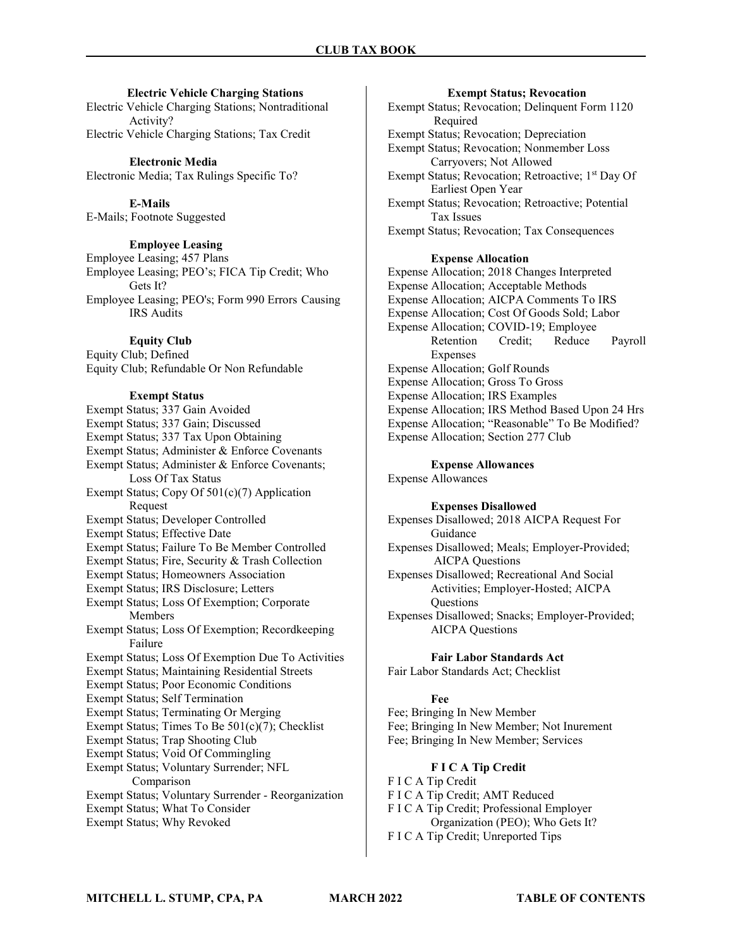#### Electric Vehicle Charging Stations

Electric Vehicle Charging Stations; Nontraditional Activity? Electric Vehicle Charging Stations; Tax Credit

Electronic Media Electronic Media; Tax Rulings Specific To?

E-Mails E-Mails; Footnote Suggested

### Employee Leasing

Employee Leasing; 457 Plans Employee Leasing; PEO's; FICA Tip Credit; Who Gets It? Employee Leasing; PEO's; Form 990 Errors Causing IRS Audits

#### Equity Club

Equity Club; Defined Equity Club; Refundable Or Non Refundable

#### Exempt Status

Exempt Status; 337 Gain Avoided Exempt Status; 337 Gain; Discussed Exempt Status; 337 Tax Upon Obtaining Exempt Status; Administer & Enforce Covenants Exempt Status; Administer & Enforce Covenants; Loss Of Tax Status Exempt Status; Copy Of 501(c)(7) Application Request Exempt Status; Developer Controlled Exempt Status; Effective Date Exempt Status; Failure To Be Member Controlled Exempt Status; Fire, Security & Trash Collection Exempt Status; Homeowners Association Exempt Status; IRS Disclosure; Letters Exempt Status; Loss Of Exemption; Corporate Members Exempt Status; Loss Of Exemption; Recordkeeping Failure Exempt Status; Loss Of Exemption Due To Activities Exempt Status; Maintaining Residential Streets Exempt Status; Poor Economic Conditions Exempt Status; Self Termination Exempt Status; Terminating Or Merging Exempt Status; Times To Be 501(c)(7); Checklist Exempt Status; Trap Shooting Club Exempt Status; Void Of Commingling Exempt Status; Voluntary Surrender; NFL Comparison Exempt Status; Voluntary Surrender - Reorganization Exempt Status; What To Consider

Exempt Status; Why Revoked

#### Exempt Status; Revocation

Exempt Status; Revocation; Delinquent Form 1120 Required Exempt Status; Revocation; Depreciation Exempt Status; Revocation; Nonmember Loss Carryovers; Not Allowed Exempt Status; Revocation; Retroactive; 1<sup>st</sup> Day Of Earliest Open Year Exempt Status; Revocation; Retroactive; Potential Tax Issues Exempt Status; Revocation; Tax Consequences

### Expense Allocation

Expense Allocation; 2018 Changes Interpreted Expense Allocation; Acceptable Methods Expense Allocation; AICPA Comments To IRS Expense Allocation; Cost Of Goods Sold; Labor Expense Allocation; COVID-19; Employee Retention Credit; Reduce Payroll **Expenses** Expense Allocation; Golf Rounds Expense Allocation; Gross To Gross Expense Allocation; IRS Examples Expense Allocation; IRS Method Based Upon 24 Hrs Expense Allocation; "Reasonable" To Be Modified? Expense Allocation; Section 277 Club

#### Expense Allowances

Expense Allowances

### Expenses Disallowed

Expenses Disallowed; 2018 AICPA Request For Guidance

Expenses Disallowed; Meals; Employer-Provided; AICPA Questions

Expenses Disallowed; Recreational And Social Activities; Employer-Hosted; AICPA **Ouestions** 

Expenses Disallowed; Snacks; Employer-Provided; AICPA Questions

### Fair Labor Standards Act

Fair Labor Standards Act; Checklist

#### Fee

Fee; Bringing In New Member Fee; Bringing In New Member; Not Inurement Fee; Bringing In New Member; Services

#### F I C A Tip Credit

F I C A Tip Credit F I C A Tip Credit; AMT Reduced F I C A Tip Credit; Professional Employer Organization (PEO); Who Gets It? F I C A Tip Credit; Unreported Tips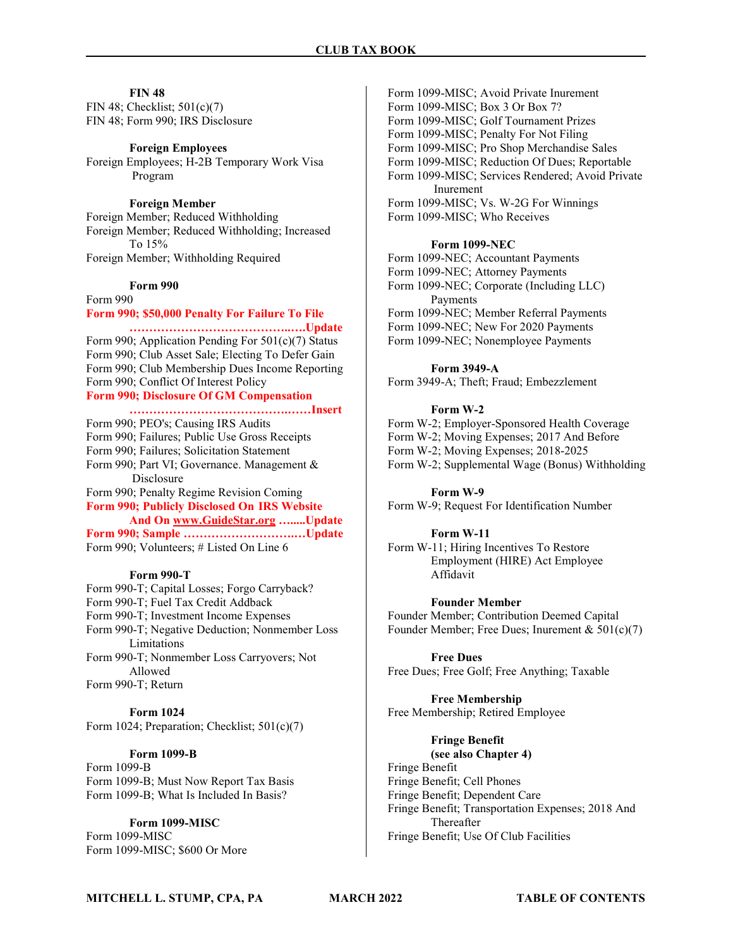#### **FIN 48**

FIN 48; Checklist; 501(c)(7) FIN 48; Form 990; IRS Disclosure

#### Foreign Employees

Foreign Employees; H-2B Temporary Work Visa Program

### Foreign Member

Foreign Member; Reduced Withholding Foreign Member; Reduced Withholding; Increased To 15% Foreign Member; Withholding Required

#### Form 990

Form 990 Form 990; \$50,000 Penalty For Failure To File

### …………………………………..….Update Form 990; Application Pending For 501(c)(7) Status

Form 990; Club Asset Sale; Electing To Defer Gain Form 990; Club Membership Dues Income Reporting Form 990; Conflict Of Interest Policy Form 990; Disclosure Of GM Compensation

 ………………………………….……Insert Form 990; PEO's; Causing IRS Audits Form 990; Failures; Public Use Gross Receipts Form 990; Failures; Solicitation Statement Form 990; Part VI; Governance. Management & Disclosure Form 990; Penalty Regime Revision Coming Form 990; Publicly Disclosed On IRS Website And On www.GuideStar.org ........Update Form 990; Sample ……………………….…Update

Form 990; Volunteers; # Listed On Line 6

#### Form 990-T

Form 990-T; Capital Losses; Forgo Carryback? Form 990-T; Fuel Tax Credit Addback Form 990-T; Investment Income Expenses Form 990-T; Negative Deduction; Nonmember Loss Limitations Form 990-T; Nonmember Loss Carryovers; Not Allowed Form 990-T; Return

#### Form 1024

Form 1024; Preparation; Checklist; 501(c)(7)

### Form 1099-B

Form 1099-B Form 1099-B; Must Now Report Tax Basis Form 1099-B; What Is Included In Basis?

### Form 1099-MISC

Form 1099-MISC Form 1099-MISC; \$600 Or More

Form 1099-MISC; Avoid Private Inurement Form 1099-MISC; Box 3 Or Box 7? Form 1099-MISC; Golf Tournament Prizes Form 1099-MISC; Penalty For Not Filing Form 1099-MISC; Pro Shop Merchandise Sales Form 1099-MISC; Reduction Of Dues; Reportable Form 1099-MISC; Services Rendered; Avoid Private Inurement Form 1099-MISC; Vs. W-2G For Winnings Form 1099-MISC; Who Receives

#### Form 1099-NEC

Form 1099-NEC; Accountant Payments Form 1099-NEC; Attorney Payments Form 1099-NEC; Corporate (Including LLC) Payments Form 1099-NEC; Member Referral Payments Form 1099-NEC; New For 2020 Payments Form 1099-NEC; Nonemployee Payments

### Form 3949-A

Form 3949-A; Theft; Fraud; Embezzlement

#### Form W-2

Form W-2; Employer-Sponsored Health Coverage Form W-2; Moving Expenses; 2017 And Before Form W-2; Moving Expenses; 2018-2025 Form W-2; Supplemental Wage (Bonus) Withholding

#### Form W-9

Form W-9; Request For Identification Number

#### Form W-11

Form W-11; Hiring Incentives To Restore Employment (HIRE) Act Employee Affidavit

#### Founder Member

Founder Member; Contribution Deemed Capital Founder Member; Free Dues; Inurement & 501(c)(7)

#### Free Dues

Free Dues; Free Golf; Free Anything; Taxable

Free Membership Free Membership; Retired Employee

### Fringe Benefit

(see also Chapter 4) Fringe Benefit Fringe Benefit; Cell Phones Fringe Benefit; Dependent Care Fringe Benefit; Transportation Expenses; 2018 And Thereafter Fringe Benefit; Use Of Club Facilities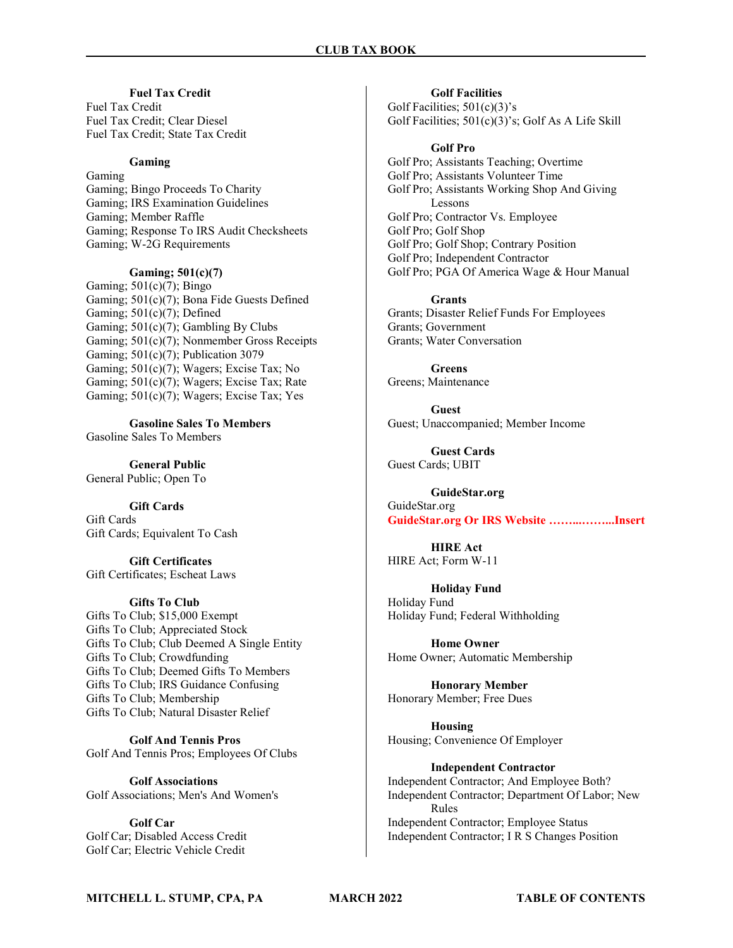### Fuel Tax Credit

Fuel Tax Credit Fuel Tax Credit; Clear Diesel Fuel Tax Credit; State Tax Credit

### Gaming

Gaming Gaming; Bingo Proceeds To Charity Gaming; IRS Examination Guidelines Gaming; Member Raffle Gaming; Response To IRS Audit Checksheets Gaming; W-2G Requirements

### Gaming; 501(c)(7)

Gaming;  $501(c)(7)$ ; Bingo Gaming; 501(c)(7); Bona Fide Guests Defined Gaming;  $501(c)(7)$ ; Defined Gaming; 501(c)(7); Gambling By Clubs Gaming; 501(c)(7); Nonmember Gross Receipts Gaming; 501(c)(7); Publication 3079 Gaming; 501(c)(7); Wagers; Excise Tax; No Gaming; 501(c)(7); Wagers; Excise Tax; Rate Gaming; 501(c)(7); Wagers; Excise Tax; Yes

Gasoline Sales To Members Gasoline Sales To Members

General Public General Public; Open To

Gift Cards

Gift Cards Gift Cards; Equivalent To Cash

Gift Certificates Gift Certificates; Escheat Laws

### Gifts To Club

Gifts To Club; \$15,000 Exempt Gifts To Club; Appreciated Stock Gifts To Club; Club Deemed A Single Entity Gifts To Club; Crowdfunding Gifts To Club; Deemed Gifts To Members Gifts To Club; IRS Guidance Confusing Gifts To Club; Membership Gifts To Club; Natural Disaster Relief

Golf And Tennis Pros Golf And Tennis Pros; Employees Of Clubs

Golf Associations Golf Associations; Men's And Women's

Golf Car Golf Car; Disabled Access Credit Golf Car; Electric Vehicle Credit

Golf Facilities Golf Facilities; 501(c)(3)'s Golf Facilities; 501(c)(3)'s; Golf As A Life Skill

#### Golf Pro

Golf Pro; Assistants Teaching; Overtime Golf Pro; Assistants Volunteer Time Golf Pro; Assistants Working Shop And Giving Lessons Golf Pro; Contractor Vs. Employee Golf Pro; Golf Shop Golf Pro; Golf Shop; Contrary Position Golf Pro; Independent Contractor Golf Pro; PGA Of America Wage & Hour Manual

#### Grants

Grants; Disaster Relief Funds For Employees Grants; Government Grants; Water Conversation

Greens Greens; Maintenance

Guest Guest; Unaccompanied; Member Income

Guest Cards Guest Cards; UBIT

GuideStar.org GuideStar.org GuideStar.org Or IRS Website ……...……...Insert

HIRE Act HIRE Act; Form W-11

Holiday Fund Holiday Fund Holiday Fund; Federal Withholding

Home Owner Home Owner; Automatic Membership

Honorary Member Honorary Member; Free Dues

Housing Housing; Convenience Of Employer

Independent Contractor Independent Contractor; And Employee Both? Independent Contractor; Department Of Labor; New Rules Independent Contractor; Employee Status Independent Contractor; I R S Changes Position

MITCHELL L. STUMP, CPA, PA MARCH 2022 TABLE OF CONTENTS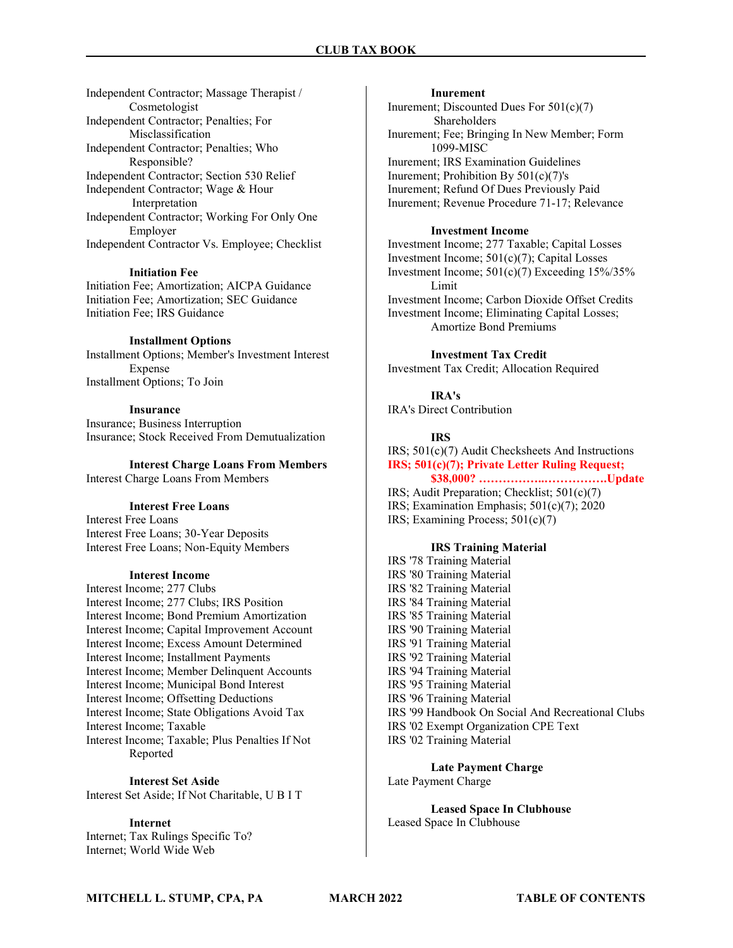Independent Contractor; Massage Therapist / Cosmetologist Independent Contractor; Penalties; For Misclassification Independent Contractor; Penalties; Who Responsible? Independent Contractor; Section 530 Relief Independent Contractor; Wage & Hour Interpretation Independent Contractor; Working For Only One Employer Independent Contractor Vs. Employee; Checklist

#### Initiation Fee

Initiation Fee; Amortization; AICPA Guidance Initiation Fee; Amortization; SEC Guidance Initiation Fee; IRS Guidance

#### Installment Options

Installment Options; Member's Investment Interest Expense Installment Options; To Join

#### Insurance

Insurance; Business Interruption Insurance; Stock Received From Demutualization

#### Interest Charge Loans From Members

Interest Charge Loans From Members

### Interest Free Loans

Interest Free Loans Interest Free Loans; 30-Year Deposits Interest Free Loans; Non-Equity Members

### Interest Income

Interest Income; 277 Clubs Interest Income; 277 Clubs; IRS Position Interest Income; Bond Premium Amortization Interest Income; Capital Improvement Account Interest Income; Excess Amount Determined Interest Income; Installment Payments Interest Income; Member Delinquent Accounts Interest Income; Municipal Bond Interest Interest Income; Offsetting Deductions Interest Income; State Obligations Avoid Tax Interest Income; Taxable Interest Income; Taxable; Plus Penalties If Not Reported

#### Interest Set Aside

Interest Set Aside; If Not Charitable, U B I T

#### Internet

Internet; Tax Rulings Specific To? Internet; World Wide Web

#### Inurement

Inurement; Discounted Dues For 501(c)(7) Shareholders Inurement; Fee; Bringing In New Member; Form 1099-MISC Inurement; IRS Examination Guidelines Inurement; Prohibition By 501(c)(7)'s Inurement; Refund Of Dues Previously Paid Inurement; Revenue Procedure 71-17; Relevance

### Investment Income

Investment Income; 277 Taxable; Capital Losses Investment Income; 501(c)(7); Capital Losses Investment Income;  $501(c)(7)$  Exceeding  $15\%/35\%$ Limit Investment Income; Carbon Dioxide Offset Credits Investment Income; Eliminating Capital Losses; Amortize Bond Premiums

#### Investment Tax Credit

Investment Tax Credit; Allocation Required

### IRA's

IRA's Direct Contribution

#### IRS

IRS; 501(c)(7) Audit Checksheets And Instructions IRS; 501(c)(7); Private Letter Ruling Request; \$38,000? ……………..…………….Update

- IRS; Audit Preparation; Checklist; 501(c)(7)
- IRS; Examination Emphasis; 501(c)(7); 2020
- IRS; Examining Process; 501(c)(7)

### IRS Training Material

IRS '78 Training Material IRS '80 Training Material IRS '82 Training Material IRS '84 Training Material IRS '85 Training Material IRS '90 Training Material IRS '91 Training Material IRS '92 Training Material IRS '94 Training Material IRS '95 Training Material IRS '96 Training Material IRS '99 Handbook On Social And Recreational Clubs IRS '02 Exempt Organization CPE Text IRS '02 Training Material

Late Payment Charge Late Payment Charge

Leased Space In Clubhouse Leased Space In Clubhouse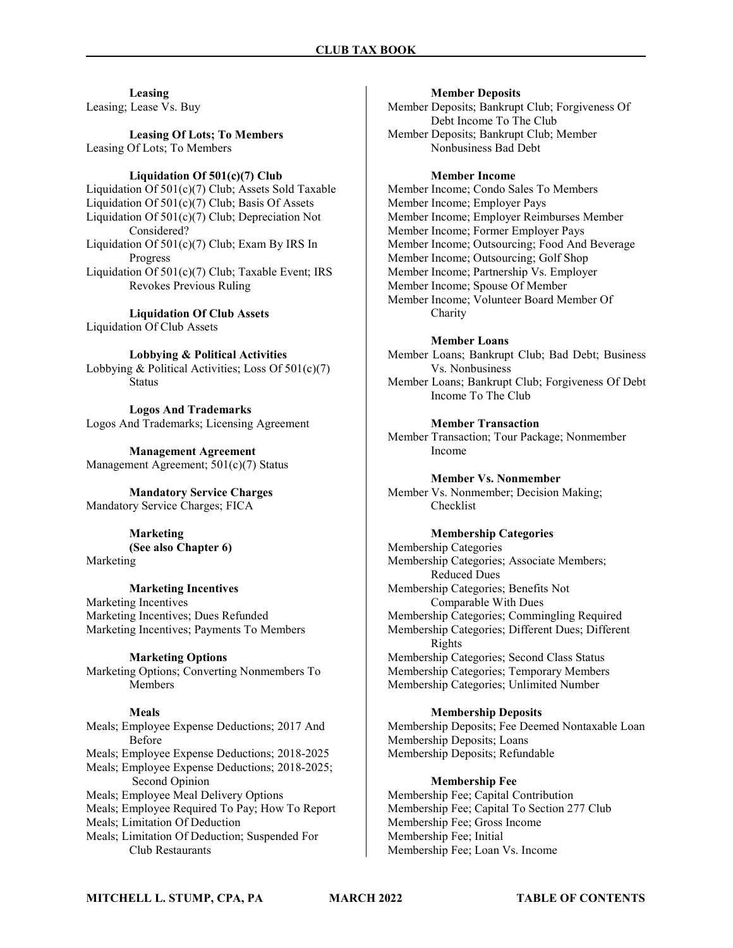Leasing Leasing; Lease Vs. Buy

Leasing Of Lots; To Members Leasing Of Lots; To Members

#### Liquidation Of 501(c)(7) Club

Liquidation Of 501(c)(7) Club; Assets Sold Taxable Liquidation Of 501(c)(7) Club; Basis Of Assets Liquidation Of 501(c)(7) Club; Depreciation Not Considered? Liquidation Of 501(c)(7) Club; Exam By IRS In Progress Liquidation Of 501(c)(7) Club; Taxable Event; IRS Revokes Previous Ruling

Liquidation Of Club Assets Liquidation Of Club Assets

Lobbying & Political Activities Lobbying & Political Activities; Loss Of 501(c)(7) Status

Logos And Trademarks Logos And Trademarks; Licensing Agreement

Management Agreement Management Agreement; 501(c)(7) Status

Mandatory Service Charges Mandatory Service Charges; FICA

> Marketing (See also Chapter 6)

Marketing

#### Marketing Incentives

Marketing Incentives Marketing Incentives; Dues Refunded Marketing Incentives; Payments To Members

Marketing Options Marketing Options; Converting Nonmembers To Members

#### Meals

Meals; Employee Expense Deductions; 2017 And Before Meals; Employee Expense Deductions; 2018-2025 Meals; Employee Expense Deductions; 2018-2025; Second Opinion Meals; Employee Meal Delivery Options Meals; Employee Required To Pay; How To Report Meals; Limitation Of Deduction Meals; Limitation Of Deduction; Suspended For Club Restaurants

#### Member Deposits

Member Deposits; Bankrupt Club; Forgiveness Of Debt Income To The Club Member Deposits; Bankrupt Club; Member Nonbusiness Bad Debt

#### Member Income

Member Income; Condo Sales To Members Member Income; Employer Pays Member Income; Employer Reimburses Member Member Income; Former Employer Pays Member Income; Outsourcing; Food And Beverage Member Income; Outsourcing; Golf Shop Member Income; Partnership Vs. Employer Member Income; Spouse Of Member Member Income; Volunteer Board Member Of Charity

#### Member Loans

Member Loans; Bankrupt Club; Bad Debt; Business Vs. Nonbusiness

Member Loans; Bankrupt Club; Forgiveness Of Debt Income To The Club

### Member Transaction

Member Transaction; Tour Package; Nonmember Income

#### Member Vs. Nonmember

Member Vs. Nonmember; Decision Making; Checklist

#### Membership Categories

Membership Categories Membership Categories; Associate Members; Reduced Dues Membership Categories; Benefits Not Comparable With Dues Membership Categories; Commingling Required Membership Categories; Different Dues; Different Rights Membership Categories; Second Class Status Membership Categories; Temporary Members Membership Categories; Unlimited Number

### Membership Deposits

Membership Deposits; Fee Deemed Nontaxable Loan Membership Deposits; Loans Membership Deposits; Refundable

#### Membership Fee

Membership Fee; Capital Contribution Membership Fee; Capital To Section 277 Club Membership Fee; Gross Income Membership Fee; Initial Membership Fee; Loan Vs. Income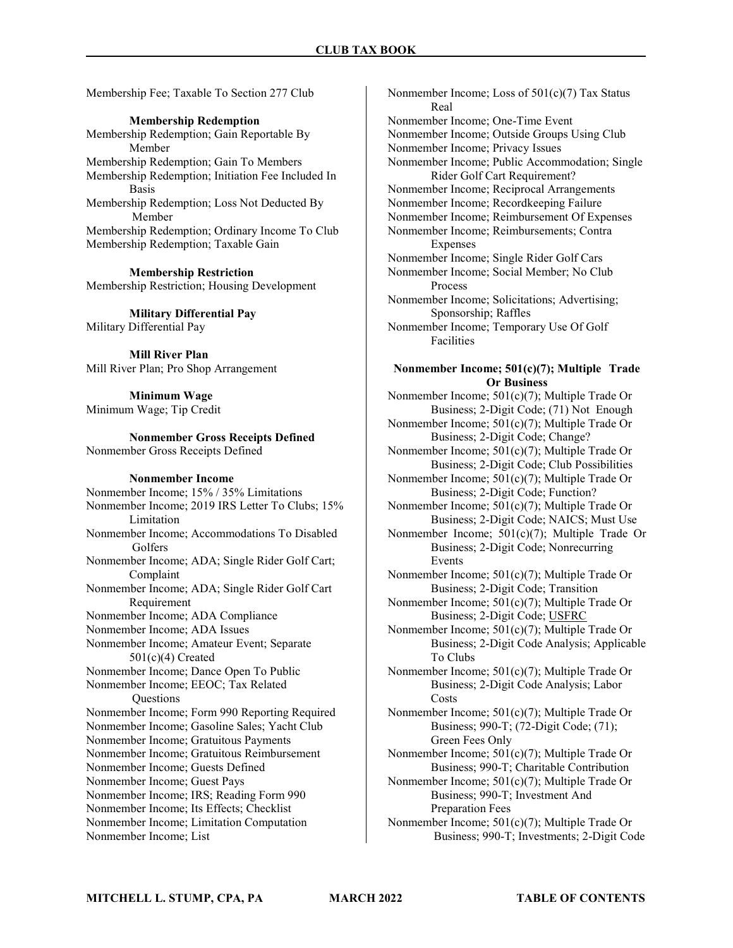Membership Fee; Taxable To Section 277 Club

Membership Redemption

Membership Redemption; Gain Reportable By Member Membership Redemption; Gain To Members Membership Redemption; Initiation Fee Included In Basis Membership Redemption; Loss Not Deducted By Member Membership Redemption; Ordinary Income To Club Membership Redemption; Taxable Gain

Membership Restriction Membership Restriction; Housing Development

Military Differential Pay Military Differential Pay

Mill River Plan Mill River Plan; Pro Shop Arrangement

Minimum Wage Minimum Wage; Tip Credit

Nonmember Gross Receipts Defined Nonmember Gross Receipts Defined

#### Nonmember Income

Nonmember Income; 15% / 35% Limitations Nonmember Income; 2019 IRS Letter To Clubs; 15% Limitation Nonmember Income; Accommodations To Disabled Golfers Nonmember Income; ADA; Single Rider Golf Cart; Complaint Nonmember Income; ADA; Single Rider Golf Cart Requirement Nonmember Income; ADA Compliance Nonmember Income; ADA Issues Nonmember Income; Amateur Event; Separate 501(c)(4) Created Nonmember Income; Dance Open To Public Nonmember Income; EEOC; Tax Related **Questions** Nonmember Income; Form 990 Reporting Required Nonmember Income; Gasoline Sales; Yacht Club Nonmember Income; Gratuitous Payments Nonmember Income; Gratuitous Reimbursement Nonmember Income; Guests Defined Nonmember Income; Guest Pays Nonmember Income; IRS; Reading Form 990 Nonmember Income; Its Effects; Checklist Nonmember Income; Limitation Computation Nonmember Income; List

Nonmember Income; Loss of 501(c)(7) Tax Status Real Nonmember Income; One-Time Event Nonmember Income; Outside Groups Using Club Nonmember Income; Privacy Issues Nonmember Income; Public Accommodation; Single Rider Golf Cart Requirement? Nonmember Income; Reciprocal Arrangements Nonmember Income; Recordkeeping Failure Nonmember Income; Reimbursement Of Expenses Nonmember Income; Reimbursements; Contra Expenses Nonmember Income; Single Rider Golf Cars Nonmember Income; Social Member; No Club Process Nonmember Income; Solicitations; Advertising; Sponsorship; Raffles Nonmember Income; Temporary Use Of Golf Facilities

### Nonmember Income; 501(c)(7); Multiple Trade Or Business

Nonmember Income; 501(c)(7); Multiple Trade Or Business; 2-Digit Code; (71) Not Enough

- Nonmember Income; 501(c)(7); Multiple Trade Or Business; 2-Digit Code; Change?
- Nonmember Income; 501(c)(7); Multiple Trade Or Business; 2-Digit Code; Club Possibilities
- Nonmember Income; 501(c)(7); Multiple Trade Or Business; 2-Digit Code; Function?
- Nonmember Income; 501(c)(7); Multiple Trade Or Business; 2-Digit Code; NAICS; Must Use
- Nonmember Income; 501(c)(7); Multiple Trade Or Business; 2-Digit Code; Nonrecurring Events

Nonmember Income; 501(c)(7); Multiple Trade Or Business; 2-Digit Code; Transition

- Nonmember Income; 501(c)(7); Multiple Trade Or Business; 2-Digit Code; USFRC
- Nonmember Income; 501(c)(7); Multiple Trade Or Business; 2-Digit Code Analysis; Applicable To Clubs
- Nonmember Income; 501(c)(7); Multiple Trade Or Business; 2-Digit Code Analysis; Labor Costs
- Nonmember Income; 501(c)(7); Multiple Trade Or Business; 990-T; (72-Digit Code; (71); Green Fees Only
- Nonmember Income; 501(c)(7); Multiple Trade Or Business; 990-T; Charitable Contribution
- Nonmember Income; 501(c)(7); Multiple Trade Or Business; 990-T; Investment And Preparation Fees
- Nonmember Income; 501(c)(7); Multiple Trade Or Business; 990-T; Investments; 2-Digit Code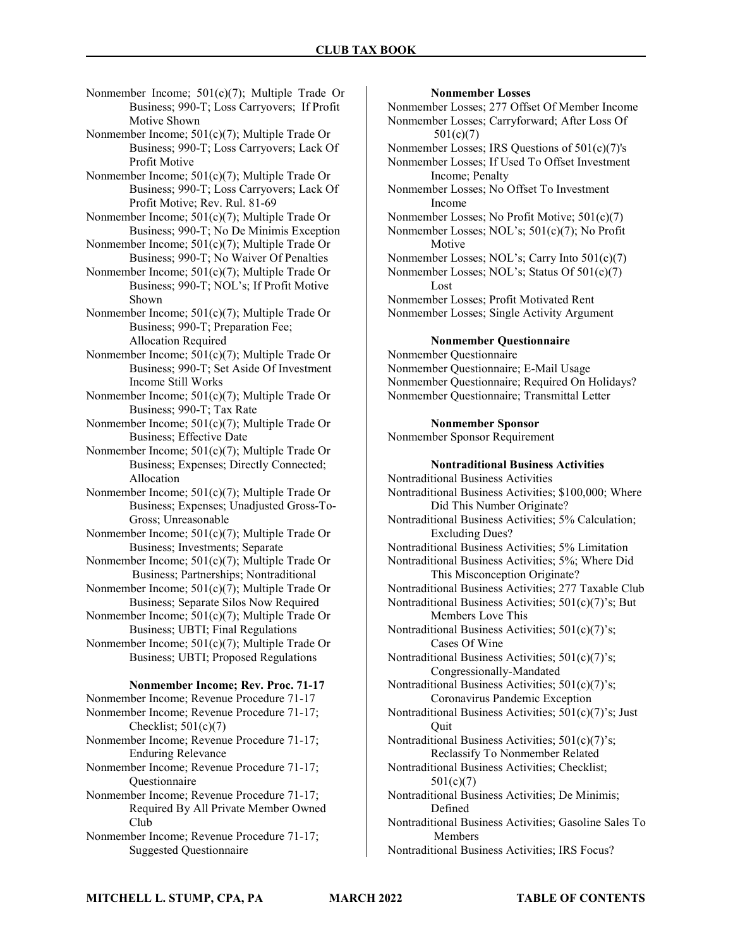Nonmember Income; 501(c)(7); Multiple Trade Or Business; 990-T; Loss Carryovers; If Profit Motive Shown

Nonmember Income; 501(c)(7); Multiple Trade Or Business; 990-T; Loss Carryovers; Lack Of Profit Motive

Nonmember Income; 501(c)(7); Multiple Trade Or Business; 990-T; Loss Carryovers; Lack Of Profit Motive; Rev. Rul. 81-69

Nonmember Income; 501(c)(7); Multiple Trade Or Business; 990-T; No De Minimis Exception

Nonmember Income; 501(c)(7); Multiple Trade Or Business; 990-T; No Waiver Of Penalties

Nonmember Income; 501(c)(7); Multiple Trade Or Business; 990-T; NOL's; If Profit Motive Shown

Nonmember Income; 501(c)(7); Multiple Trade Or Business; 990-T; Preparation Fee; Allocation Required

Nonmember Income; 501(c)(7); Multiple Trade Or Business; 990-T; Set Aside Of Investment Income Still Works

Nonmember Income; 501(c)(7); Multiple Trade Or Business; 990-T; Tax Rate

Nonmember Income; 501(c)(7); Multiple Trade Or Business; Effective Date

Nonmember Income; 501(c)(7); Multiple Trade Or Business; Expenses; Directly Connected; Allocation

Nonmember Income; 501(c)(7); Multiple Trade Or Business; Expenses; Unadjusted Gross-To- Gross; Unreasonable

Nonmember Income; 501(c)(7); Multiple Trade Or Business; Investments; Separate

Nonmember Income; 501(c)(7); Multiple Trade Or Business; Partnerships; Nontraditional

Nonmember Income; 501(c)(7); Multiple Trade Or Business; Separate Silos Now Required

Nonmember Income; 501(c)(7); Multiple Trade Or Business; UBTI; Final Regulations

Nonmember Income; 501(c)(7); Multiple Trade Or Business; UBTI; Proposed Regulations

#### Nonmember Income; Rev. Proc. 71-17

Nonmember Income; Revenue Procedure 71-17 Nonmember Income; Revenue Procedure 71-17; Checklist;  $501(c)(7)$ Nonmember Income; Revenue Procedure 71-17; Enduring Relevance

Nonmember Income; Revenue Procedure 71-17; **Questionnaire** 

- Nonmember Income; Revenue Procedure 71-17; Required By All Private Member Owned Club
- Nonmember Income; Revenue Procedure 71-17; Suggested Questionnaire

#### Nonmember Losses

Nonmember Losses; 277 Offset Of Member Income Nonmember Losses; Carryforward; After Loss Of 501(c)(7)

Nonmember Losses; IRS Questions of 501(c)(7)'s

Nonmember Losses; If Used To Offset Investment Income; Penalty

Nonmember Losses; No Offset To Investment Income

Nonmember Losses; No Profit Motive; 501(c)(7) Nonmember Losses; NOL's; 501(c)(7); No Profit

 Motive Nonmember Losses; NOL's; Carry Into 501(c)(7)

Nonmember Losses; NOL's; Status Of 501(c)(7) Lost

Nonmember Losses; Profit Motivated Rent Nonmember Losses; Single Activity Argument

#### Nonmember Questionnaire

Nonmember Questionnaire Nonmember Questionnaire; E-Mail Usage Nonmember Questionnaire; Required On Holidays? Nonmember Questionnaire; Transmittal Letter

#### Nonmember Sponsor

Nonmember Sponsor Requirement

#### Nontraditional Business Activities

Nontraditional Business Activities Nontraditional Business Activities; \$100,000; Where Did This Number Originate? Nontraditional Business Activities; 5% Calculation;

 Excluding Dues? Nontraditional Business Activities; 5% Limitation

Nontraditional Business Activities; 5%; Where Did This Misconception Originate?

Nontraditional Business Activities; 277 Taxable Club

Nontraditional Business Activities; 501(c)(7)'s; But Members Love This

Nontraditional Business Activities; 501(c)(7)'s; Cases Of Wine

Nontraditional Business Activities; 501(c)(7)'s; Congressionally-Mandated

Nontraditional Business Activities; 501(c)(7)'s; Coronavirus Pandemic Exception

Nontraditional Business Activities; 501(c)(7)'s; Just **Ouit** 

Nontraditional Business Activities; 501(c)(7)'s; Reclassify To Nonmember Related

Nontraditional Business Activities; Checklist; 501(c)(7)

Nontraditional Business Activities; De Minimis; Defined

Nontraditional Business Activities; Gasoline Sales To Members

Nontraditional Business Activities; IRS Focus?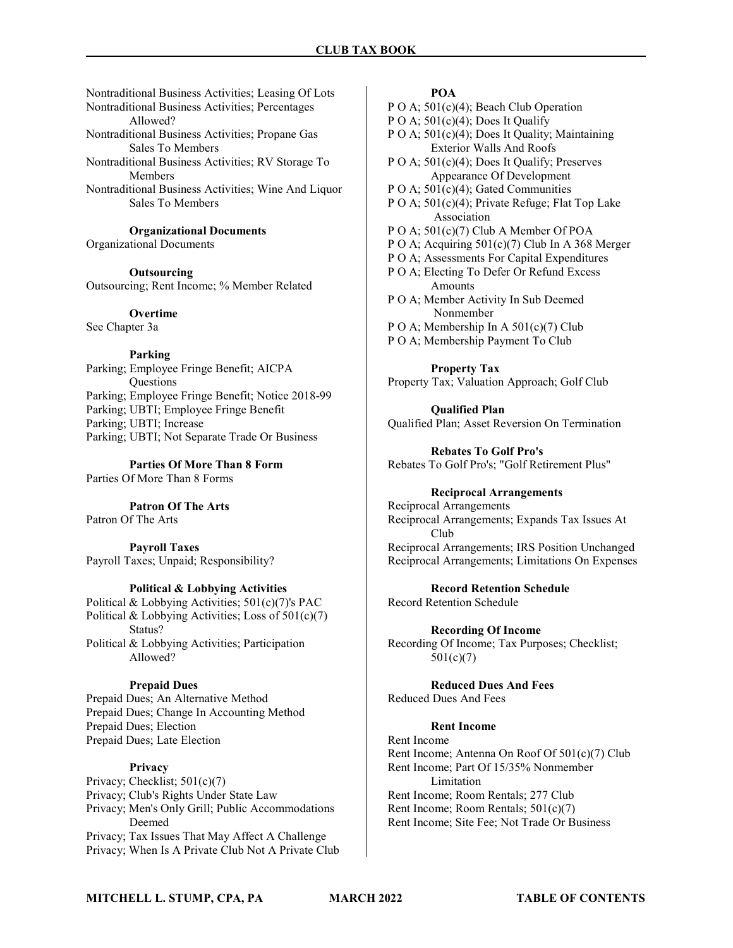Nontraditional Business Activities; Leasing Of Lots Nontraditional Business Activities; Percentages Allowed? Nontraditional Business Activities; Propane Gas Sales To Members Nontraditional Business Activities; RV Storage To Members

Nontraditional Business Activities; Wine And Liquor Sales To Members

Organizational Documents

Organizational Documents

**Outsourcing** Outsourcing; Rent Income; % Member Related

**Overtime** See Chapter 3a

Parking Parking; Employee Fringe Benefit; AICPA **Ouestions** Parking; Employee Fringe Benefit; Notice 2018-99 Parking; UBTI; Employee Fringe Benefit Parking; UBTI; Increase Parking; UBTI; Not Separate Trade Or Business

Parties Of More Than 8 Form Parties Of More Than 8 Forms

Patron Of The Arts

Patron Of The Arts

Payroll Taxes Payroll Taxes; Unpaid; Responsibility?

### Political & Lobbying Activities

Political & Lobbying Activities; 501(c)(7)'s PAC Political & Lobbying Activities; Loss of 501(c)(7) Status? Political & Lobbying Activities; Participation Allowed?

### Prepaid Dues

Prepaid Dues; An Alternative Method Prepaid Dues; Change In Accounting Method Prepaid Dues; Election Prepaid Dues; Late Election

### Privacy

Privacy; Checklist; 501(c)(7) Privacy; Club's Rights Under State Law Privacy; Men's Only Grill; Public Accommodations Deemed Privacy; Tax Issues That May Affect A Challenge Privacy; When Is A Private Club Not A Private Club

### POA

P O A;  $501(c)(4)$ ; Beach Club Operation

P O A;  $501(c)(4)$ ; Does It Qualify

- P O A; 501(c)(4); Does It Quality; Maintaining Exterior Walls And Roofs
- P O A; 501(c)(4); Does It Qualify; Preserves Appearance Of Development
- P O A;  $501(c)(4)$ ; Gated Communities

P O A; 501(c)(4); Private Refuge; Flat Top Lake Association

- P O A; 501(c)(7) Club A Member Of POA
- P O A; Acquiring 501(c)(7) Club In A 368 Merger
- P O A; Assessments For Capital Expenditures

P O A; Electing To Defer Or Refund Excess **Amounts** 

P O A; Member Activity In Sub Deemed Nonmember

- P O A; Membership In A 501(c)(7) Club
- P O A; Membership Payment To Club

Property Tax Property Tax; Valuation Approach; Golf Club

Qualified Plan Qualified Plan; Asset Reversion On Termination

Rebates To Golf Pro's Rebates To Golf Pro's; "Golf Retirement Plus"

### Reciprocal Arrangements

Reciprocal Arrangements Reciprocal Arrangements; Expands Tax Issues At Club Reciprocal Arrangements; IRS Position Unchanged Reciprocal Arrangements; Limitations On Expenses

Record Retention Schedule

Record Retention Schedule

Recording Of Income Recording Of Income; Tax Purposes; Checklist; 501(c)(7)

Reduced Dues And Fees Reduced Dues And Fees

### Rent Income

Rent Income Rent Income; Antenna On Roof Of 501(c)(7) Club Rent Income; Part Of 15/35% Nonmember Limitation Rent Income; Room Rentals; 277 Club Rent Income; Room Rentals; 501(c)(7) Rent Income; Site Fee; Not Trade Or Business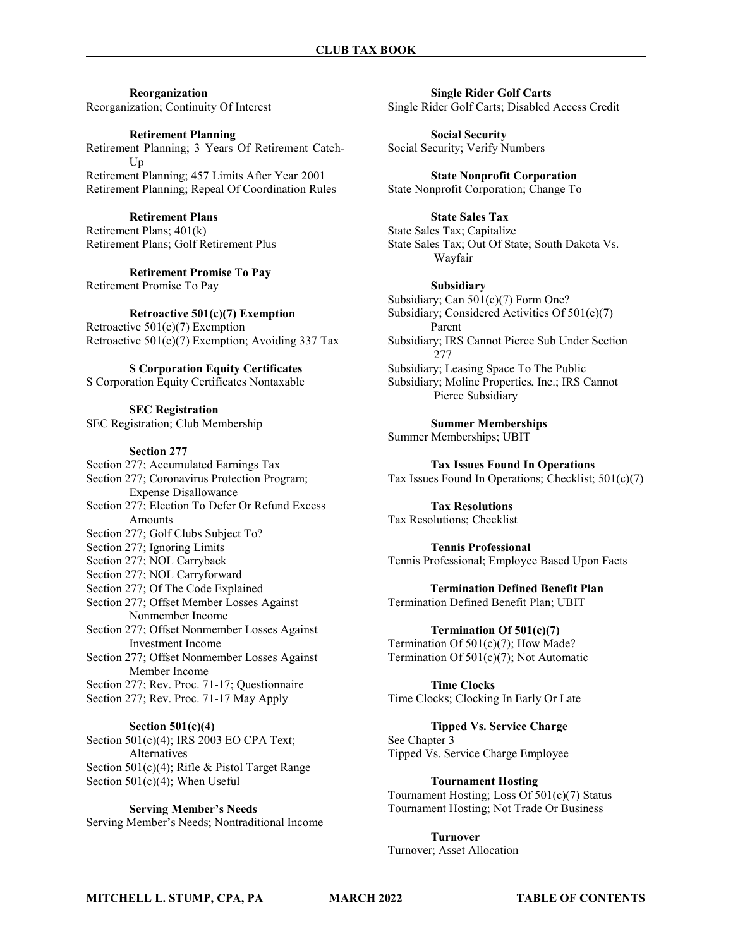Reorganization Reorganization; Continuity Of Interest

Retirement Planning Retirement Planning; 3 Years Of Retirement Catch- Up Retirement Planning; 457 Limits After Year 2001 Retirement Planning; Repeal Of Coordination Rules

Retirement Plans Retirement Plans; 401(k) Retirement Plans; Golf Retirement Plus

Retirement Promise To Pay Retirement Promise To Pay

Retroactive 501(c)(7) Exemption Retroactive 501(c)(7) Exemption Retroactive  $501(c)(7)$  Exemption; Avoiding 337 Tax

S Corporation Equity Certificates S Corporation Equity Certificates Nontaxable

SEC Registration SEC Registration; Club Membership

#### Section 277

Section 277; Accumulated Earnings Tax Section 277; Coronavirus Protection Program; Expense Disallowance Section 277; Election To Defer Or Refund Excess Amounts Section 277; Golf Clubs Subject To? Section 277; Ignoring Limits Section 277; NOL Carryback Section 277; NOL Carryforward Section 277; Of The Code Explained Section 277; Offset Member Losses Against Nonmember Income Section 277; Offset Nonmember Losses Against Investment Income Section 277; Offset Nonmember Losses Against Member Income Section 277; Rev. Proc. 71-17; Questionnaire Section 277; Rev. Proc. 71-17 May Apply

Section 501(c)(4) Section 501(c)(4); IRS 2003 EO CPA Text; Alternatives Section 501(c)(4); Rifle & Pistol Target Range Section 501(c)(4); When Useful

Serving Member's Needs Serving Member's Needs; Nontraditional Income

Single Rider Golf Carts Single Rider Golf Carts; Disabled Access Credit

Social Security Social Security; Verify Numbers

State Nonprofit Corporation State Nonprofit Corporation; Change To

State Sales Tax State Sales Tax; Capitalize State Sales Tax; Out Of State; South Dakota Vs. Wayfair

Subsidiary Subsidiary; Can 501(c)(7) Form One? Subsidiary; Considered Activities Of 501(c)(7) Parent Subsidiary; IRS Cannot Pierce Sub Under Section 277 Subsidiary; Leasing Space To The Public Subsidiary; Moline Properties, Inc.; IRS Cannot Pierce Subsidiary

Summer Memberships Summer Memberships; UBIT

Tax Issues Found In Operations Tax Issues Found In Operations; Checklist; 501(c)(7)

Tax Resolutions Tax Resolutions; Checklist

Tennis Professional Tennis Professional; Employee Based Upon Facts

Termination Defined Benefit Plan Termination Defined Benefit Plan; UBIT

Termination Of 501(c)(7) Termination Of 501(c)(7); How Made? Termination Of 501(c)(7); Not Automatic

Time Clocks Time Clocks; Clocking In Early Or Late

Tipped Vs. Service Charge See Chapter 3 Tipped Vs. Service Charge Employee

Tournament Hosting Tournament Hosting; Loss Of 501(c)(7) Status Tournament Hosting; Not Trade Or Business

Turnover Turnover; Asset Allocation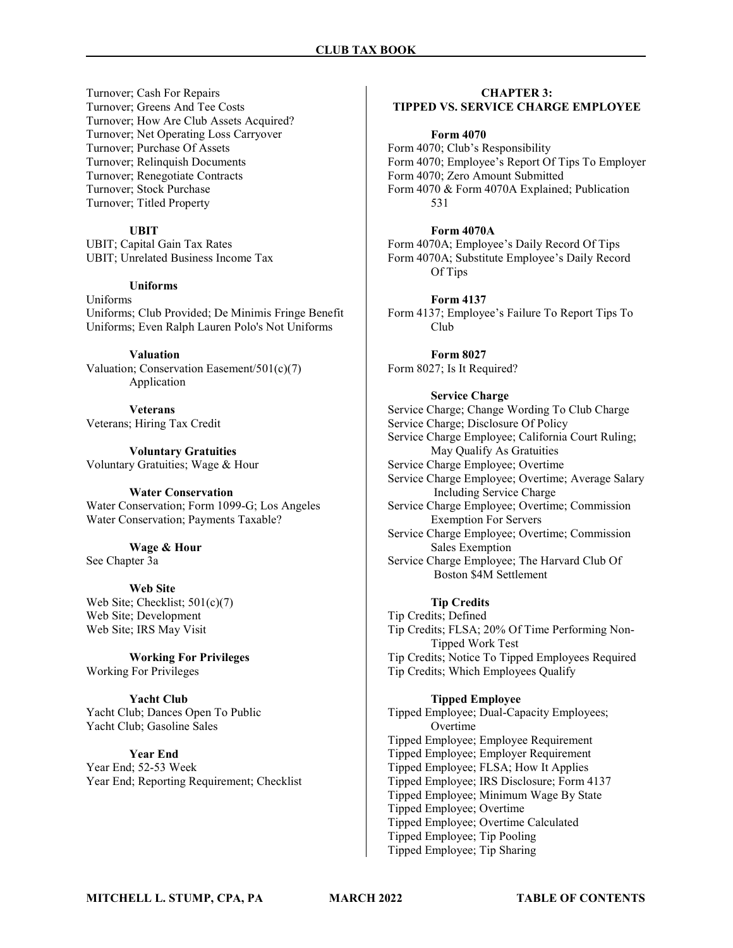Turnover; Cash For Repairs Turnover; Greens And Tee Costs Turnover; How Are Club Assets Acquired? Turnover; Net Operating Loss Carryover Turnover; Purchase Of Assets Turnover; Relinquish Documents Turnover; Renegotiate Contracts Turnover; Stock Purchase Turnover; Titled Property

### UBIT

UBIT; Capital Gain Tax Rates UBIT; Unrelated Business Income Tax

#### Uniforms

Uniforms Uniforms; Club Provided; De Minimis Fringe Benefit Uniforms; Even Ralph Lauren Polo's Not Uniforms

#### Valuation

Valuation; Conservation Easement/501(c)(7) Application

Veterans Veterans; Hiring Tax Credit

Voluntary Gratuities Voluntary Gratuities; Wage & Hour

#### Water Conservation

Water Conservation; Form 1099-G; Los Angeles Water Conservation; Payments Taxable?

Wage & Hour

See Chapter 3a

#### Web Site

Web Site; Checklist; 501(c)(7) Web Site; Development Web Site; IRS May Visit

Working For Privileges Working For Privileges

Yacht Club Yacht Club; Dances Open To Public Yacht Club; Gasoline Sales

### Year End

Year End; 52-53 Week Year End; Reporting Requirement; Checklist

## CHAPTER 3:

### TIPPED VS. SERVICE CHARGE EMPLOYEE

#### Form 4070

Form 4070; Club's Responsibility Form 4070; Employee's Report Of Tips To Employer Form 4070; Zero Amount Submitted Form 4070 & Form 4070A Explained; Publication 531

#### Form 4070A

Form 4070A; Employee's Daily Record Of Tips Form 4070A; Substitute Employee's Daily Record Of Tips

#### Form 4137

Form 4137; Employee's Failure To Report Tips To Club

Form 8027 Form 8027; Is It Required?

#### Service Charge

Service Charge; Change Wording To Club Charge Service Charge; Disclosure Of Policy Service Charge Employee; California Court Ruling; May Qualify As Gratuities Service Charge Employee; Overtime Service Charge Employee; Overtime; Average Salary Including Service Charge Service Charge Employee; Overtime; Commission Exemption For Servers Service Charge Employee; Overtime; Commission Sales Exemption Service Charge Employee; The Harvard Club Of Boston \$4M Settlement

#### Tip Credits

Tip Credits; Defined Tip Credits; FLSA; 20% Of Time Performing Non- Tipped Work Test Tip Credits; Notice To Tipped Employees Required Tip Credits; Which Employees Qualify

### Tipped Employee

Tipped Employee; Dual-Capacity Employees; Overtime Tipped Employee; Employee Requirement Tipped Employee; Employer Requirement Tipped Employee; FLSA; How It Applies Tipped Employee; IRS Disclosure; Form 4137 Tipped Employee; Minimum Wage By State Tipped Employee; Overtime Tipped Employee; Overtime Calculated Tipped Employee; Tip Pooling Tipped Employee; Tip Sharing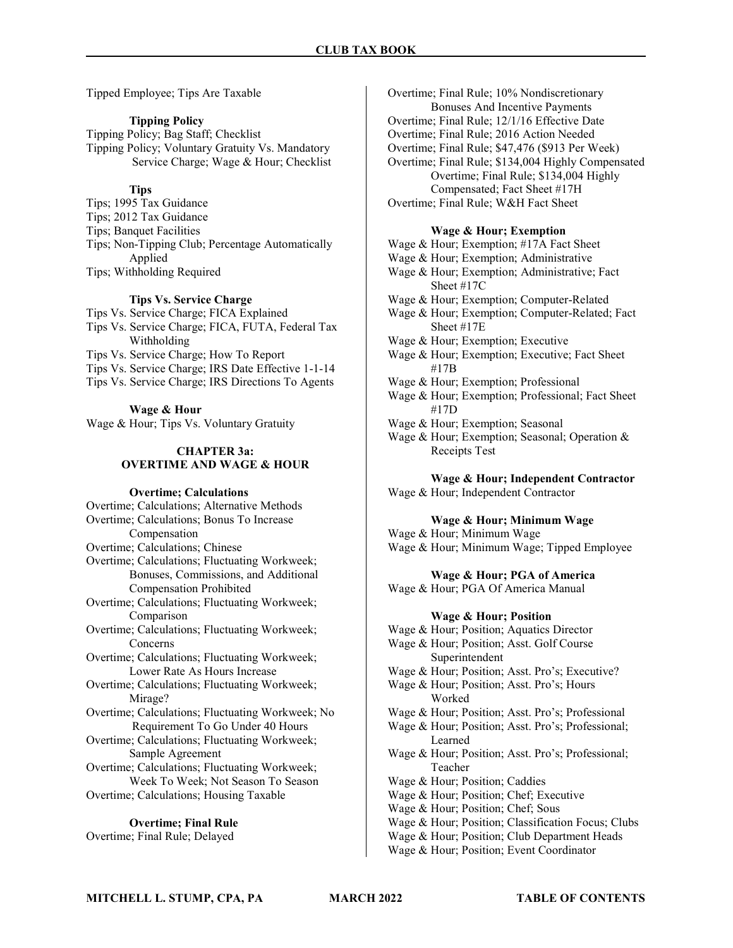Tipped Employee; Tips Are Taxable

### Tipping Policy

Tipping Policy; Bag Staff; Checklist Tipping Policy; Voluntary Gratuity Vs. Mandatory Service Charge; Wage & Hour; Checklist

### **Tips**

Tips; 1995 Tax Guidance Tips; 2012 Tax Guidance Tips; Banquet Facilities Tips; Non-Tipping Club; Percentage Automatically Applied Tips; Withholding Required

#### Tips Vs. Service Charge

Tips Vs. Service Charge; FICA Explained

- Tips Vs. Service Charge; FICA, FUTA, Federal Tax Withholding
- Tips Vs. Service Charge; How To Report
- Tips Vs. Service Charge; IRS Date Effective 1-1-14
- Tips Vs. Service Charge; IRS Directions To Agents

#### Wage & Hour

Wage & Hour; Tips Vs. Voluntary Gratuity

#### CHAPTER 3a: OVERTIME AND WAGE & HOUR

#### Overtime; Calculations

Overtime; Calculations; Alternative Methods Overtime; Calculations; Bonus To Increase Compensation Overtime; Calculations; Chinese Overtime; Calculations; Fluctuating Workweek; Bonuses, Commissions, and Additional Compensation Prohibited Overtime; Calculations; Fluctuating Workweek; Comparison Overtime; Calculations; Fluctuating Workweek; Concerns Overtime; Calculations; Fluctuating Workweek; Lower Rate As Hours Increase Overtime; Calculations; Fluctuating Workweek; Mirage? Overtime; Calculations; Fluctuating Workweek; No Requirement To Go Under 40 Hours Overtime; Calculations; Fluctuating Workweek; Sample Agreement Overtime; Calculations; Fluctuating Workweek; Week To Week; Not Season To Season Overtime; Calculations; Housing Taxable

### Overtime; Final Rule

Overtime; Final Rule; Delayed

Overtime; Final Rule; 10% Nondiscretionary Bonuses And Incentive Payments Overtime; Final Rule; 12/1/16 Effective Date Overtime; Final Rule; 2016 Action Needed Overtime; Final Rule; \$47,476 (\$913 Per Week) Overtime; Final Rule; \$134,004 Highly Compensated Overtime; Final Rule; \$134,004 Highly Compensated; Fact Sheet #17H Overtime; Final Rule; W&H Fact Sheet

#### Wage & Hour; Exemption

Wage & Hour; Exemption; #17A Fact Sheet Wage & Hour; Exemption; Administrative Wage & Hour; Exemption; Administrative; Fact Sheet #17C Wage & Hour; Exemption; Computer-Related Wage & Hour; Exemption; Computer-Related; Fact Sheet #17E Wage & Hour; Exemption; Executive Wage & Hour; Exemption; Executive; Fact Sheet #17B Wage & Hour; Exemption; Professional Wage & Hour; Exemption; Professional; Fact Sheet #17D

- Wage & Hour; Exemption; Seasonal
- Wage & Hour; Exemption; Seasonal; Operation & Receipts Test

### Wage & Hour; Independent Contractor

Wage & Hour; Independent Contractor

### Wage & Hour; Minimum Wage

Wage & Hour; Minimum Wage Wage & Hour; Minimum Wage; Tipped Employee

#### Wage & Hour; PGA of America

Wage & Hour; PGA Of America Manual

#### Wage & Hour; Position

Wage & Hour; Position; Aquatics Director Wage & Hour; Position; Asst. Golf Course Superintendent Wage & Hour; Position; Asst. Pro's; Executive? Wage & Hour; Position; Asst. Pro's; Hours Worked Wage & Hour; Position; Asst. Pro's; Professional Wage & Hour; Position; Asst. Pro's; Professional; Learned Wage & Hour; Position; Asst. Pro's; Professional; Teacher Wage & Hour; Position; Caddies Wage & Hour; Position; Chef; Executive Wage & Hour; Position; Chef; Sous Wage & Hour; Position; Classification Focus; Clubs Wage & Hour; Position; Club Department Heads Wage & Hour; Position; Event Coordinator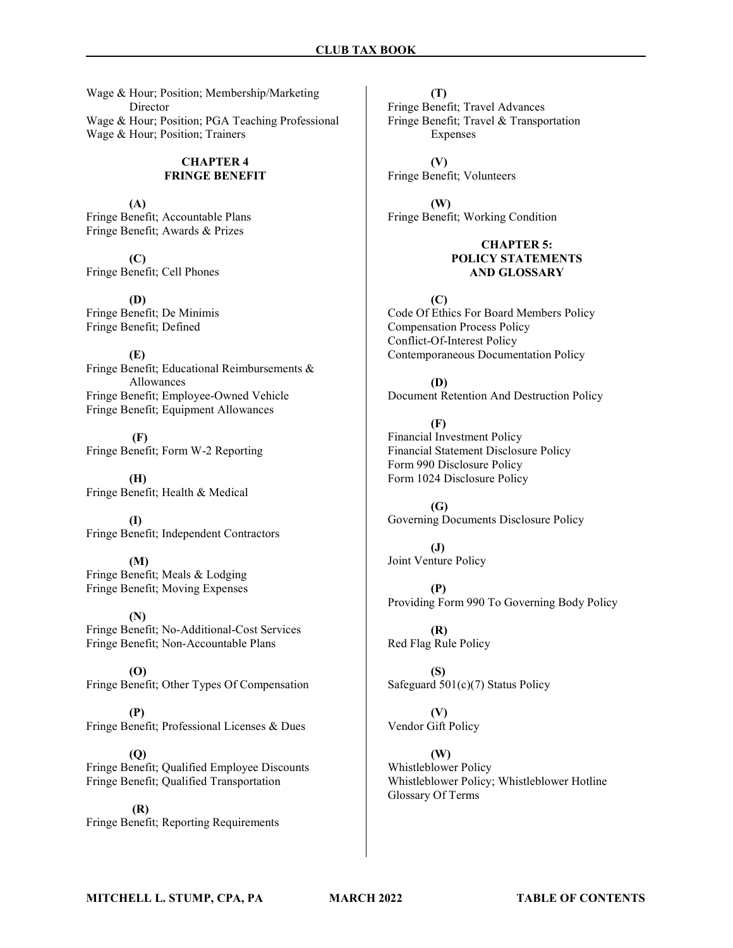Wage & Hour; Position; Membership/Marketing Director Wage & Hour; Position; PGA Teaching Professional Wage & Hour; Position; Trainers

#### CHAPTER 4 FRINGE BENEFIT

(A) Fringe Benefit; Accountable Plans Fringe Benefit; Awards & Prizes

(C) Fringe Benefit; Cell Phones

(D) Fringe Benefit; De Minimis Fringe Benefit; Defined

(E) Fringe Benefit; Educational Reimbursements & Allowances Fringe Benefit; Employee-Owned Vehicle Fringe Benefit; Equipment Allowances

 (F) Fringe Benefit; Form W-2 Reporting

(H) Fringe Benefit; Health & Medical

(I) Fringe Benefit; Independent Contractors

(M) Fringe Benefit; Meals & Lodging Fringe Benefit; Moving Expenses

(N) Fringe Benefit; No-Additional-Cost Services Fringe Benefit; Non-Accountable Plans

(O) Fringe Benefit; Other Types Of Compensation

(P) Fringe Benefit; Professional Licenses & Dues

(Q) Fringe Benefit; Qualified Employee Discounts Fringe Benefit; Qualified Transportation

 (R) Fringe Benefit; Reporting Requirements

(T) Fringe Benefit; Travel Advances Fringe Benefit; Travel & Transportation Expenses

(V) Fringe Benefit; Volunteers

(W) Fringe Benefit; Working Condition

### CHAPTER 5: POLICY STATEMENTS AND GLOSSARY

 $(C)$ Code Of Ethics For Board Members Policy Compensation Process Policy Conflict-Of-Interest Policy Contemporaneous Documentation Policy

(D) Document Retention And Destruction Policy

(F) Financial Investment Policy Financial Statement Disclosure Policy Form 990 Disclosure Policy Form 1024 Disclosure Policy

 $(G)$ Governing Documents Disclosure Policy

(J) Joint Venture Policy

(P) Providing Form 990 To Governing Body Policy

(R) Red Flag Rule Policy

(S) Safeguard 501(c)(7) Status Policy

(V) Vendor Gift Policy

(W) Whistleblower Policy Whistleblower Policy; Whistleblower Hotline Glossary Of Terms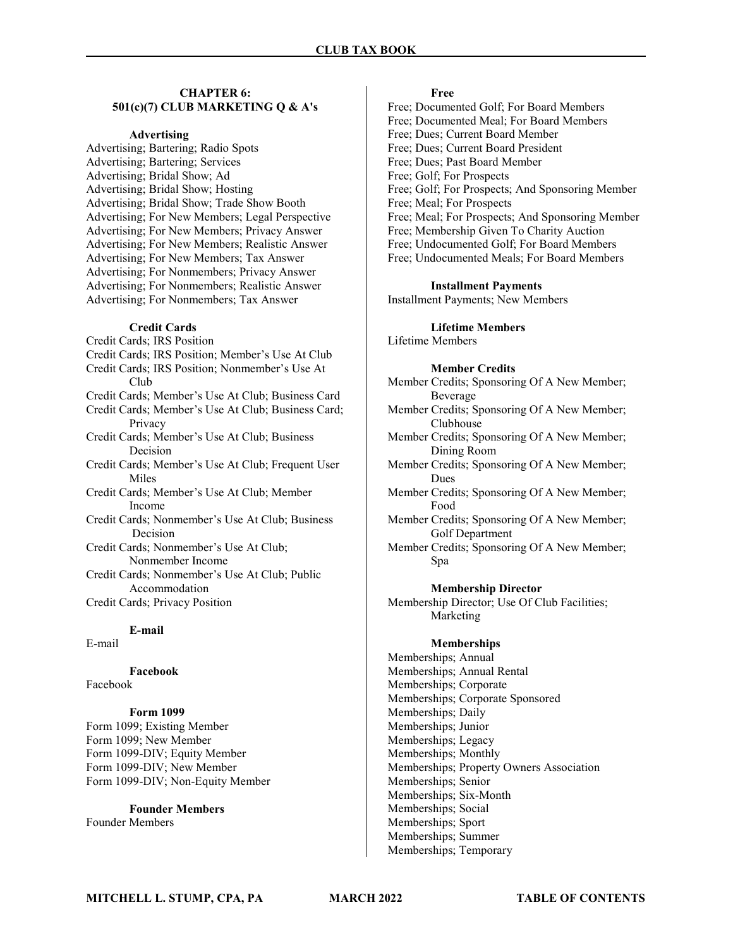### CHAPTER 6: 501(c)(7) CLUB MARKETING Q & A's

#### Advertising

Advertising; Bartering; Radio Spots Advertising; Bartering; Services Advertising; Bridal Show; Ad Advertising; Bridal Show; Hosting Advertising; Bridal Show; Trade Show Booth Advertising; For New Members; Legal Perspective Advertising; For New Members; Privacy Answer Advertising; For New Members; Realistic Answer Advertising; For New Members; Tax Answer Advertising; For Nonmembers; Privacy Answer Advertising; For Nonmembers; Realistic Answer Advertising; For Nonmembers; Tax Answer

#### Credit Cards

Credit Cards; IRS Position Credit Cards; IRS Position; Member's Use At Club Credit Cards; IRS Position; Nonmember's Use At Club Credit Cards; Member's Use At Club; Business Card Credit Cards; Member's Use At Club; Business Card; Privacy Credit Cards; Member's Use At Club; Business Decision Credit Cards; Member's Use At Club; Frequent User **Miles** Credit Cards; Member's Use At Club; Member Income Credit Cards; Nonmember's Use At Club; Business Decision Credit Cards; Nonmember's Use At Club; Nonmember Income Credit Cards; Nonmember's Use At Club; Public Accommodation Credit Cards; Privacy Position

### E-mail

E-mail

Facebook Facebook

#### Form 1099

Form 1099; Existing Member Form 1099; New Member Form 1099-DIV; Equity Member Form 1099-DIV; New Member Form 1099-DIV; Non-Equity Member

## Founder Members

Founder Members

#### Free

Free; Documented Golf; For Board Members Free; Documented Meal; For Board Members Free; Dues; Current Board Member Free; Dues; Current Board President Free; Dues; Past Board Member Free; Golf; For Prospects Free; Golf; For Prospects; And Sponsoring Member Free; Meal; For Prospects Free; Meal; For Prospects; And Sponsoring Member Free; Membership Given To Charity Auction Free; Undocumented Golf; For Board Members Free; Undocumented Meals; For Board Members

#### Installment Payments

Installment Payments; New Members

### Lifetime Members

Lifetime Members

#### Member Credits

- Member Credits; Sponsoring Of A New Member; Beverage
- Member Credits; Sponsoring Of A New Member; Clubhouse
- Member Credits; Sponsoring Of A New Member; Dining Room
- Member Credits; Sponsoring Of A New Member; Dues
- Member Credits; Sponsoring Of A New Member; Food
- Member Credits; Sponsoring Of A New Member; Golf Department
- Member Credits; Sponsoring Of A New Member; Spa

#### Membership Director

Membership Director; Use Of Club Facilities; Marketing

#### Memberships

Memberships; Annual Memberships; Annual Rental Memberships; Corporate Memberships; Corporate Sponsored Memberships; Daily Memberships; Junior Memberships; Legacy Memberships; Monthly Memberships; Property Owners Association Memberships; Senior Memberships; Six-Month Memberships; Social Memberships; Sport Memberships; Summer Memberships; Temporary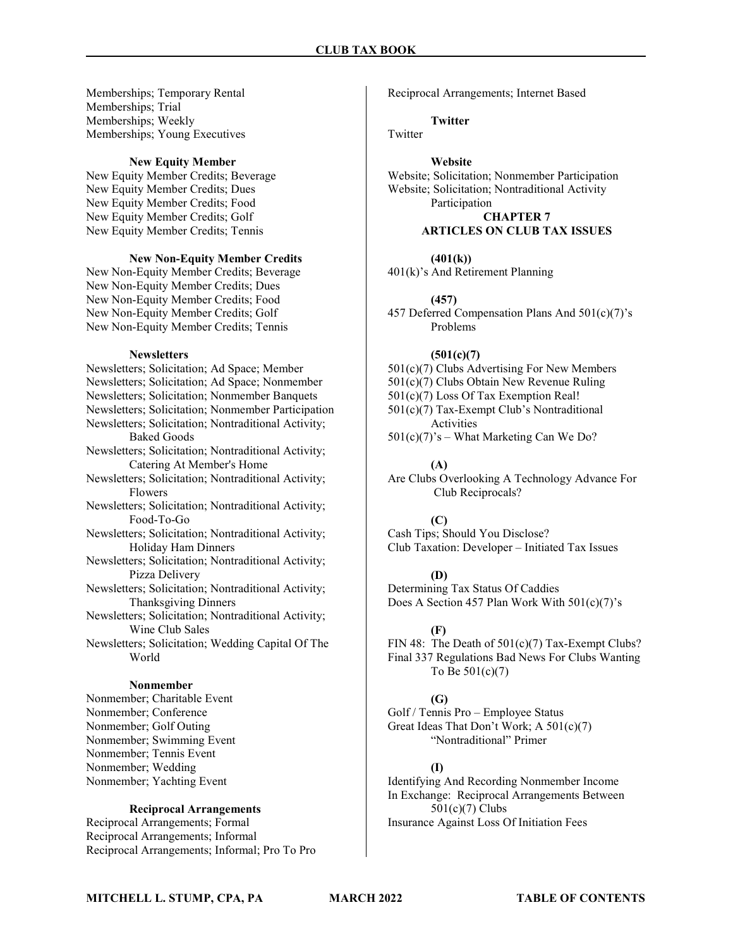Memberships; Temporary Rental Memberships; Trial Memberships; Weekly Memberships; Young Executives

#### New Equity Member

New Equity Member Credits; Beverage New Equity Member Credits; Dues New Equity Member Credits; Food New Equity Member Credits; Golf New Equity Member Credits; Tennis

#### New Non-Equity Member Credits

New Non-Equity Member Credits; Beverage New Non-Equity Member Credits; Dues New Non-Equity Member Credits; Food New Non-Equity Member Credits; Golf New Non-Equity Member Credits; Tennis

#### **Newsletters**

Newsletters; Solicitation; Ad Space; Member Newsletters; Solicitation; Ad Space; Nonmember Newsletters; Solicitation; Nonmember Banquets Newsletters; Solicitation; Nonmember Participation Newsletters; Solicitation; Nontraditional Activity; Baked Goods Newsletters; Solicitation; Nontraditional Activity; Catering At Member's Home Newsletters; Solicitation; Nontraditional Activity; Flowers Newsletters; Solicitation; Nontraditional Activity; Food-To-Go Newsletters; Solicitation; Nontraditional Activity; Holiday Ham Dinners Newsletters; Solicitation; Nontraditional Activity; Pizza Delivery Newsletters; Solicitation; Nontraditional Activity; Thanksgiving Dinners Newsletters; Solicitation; Nontraditional Activity; Wine Club Sales Newsletters; Solicitation; Wedding Capital Of The World Nonmember

Nonmember; Charitable Event Nonmember; Conference Nonmember; Golf Outing Nonmember; Swimming Event Nonmember; Tennis Event Nonmember; Wedding Nonmember; Yachting Event

### Reciprocal Arrangements

Reciprocal Arrangements; Formal Reciprocal Arrangements; Informal Reciprocal Arrangements; Informal; Pro To Pro Reciprocal Arrangements; Internet Based

Twitter

**Twitter** 

#### Website

Website; Solicitation; Nonmember Participation Website; Solicitation; Nontraditional Activity Participation CHAPTER 7

### ARTICLES ON CLUB TAX ISSUES

#### $(401(k))$

401(k)'s And Retirement Planning

#### (457)

457 Deferred Compensation Plans And 501(c)(7)'s Problems

### $(501(c)(7)$

- 501(c)(7) Clubs Advertising For New Members
- 501(c)(7) Clubs Obtain New Revenue Ruling
- 501(c)(7) Loss Of Tax Exemption Real!

501(c)(7) Tax-Exempt Club's Nontraditional Activities

 $501(c)(7)$ 's – What Marketing Can We Do?

#### (A)

Are Clubs Overlooking A Technology Advance For Club Reciprocals?

#### (C)

Cash Tips; Should You Disclose? Club Taxation: Developer – Initiated Tax Issues

#### (D)

Determining Tax Status Of Caddies Does A Section 457 Plan Work With 501(c)(7)'s

#### (F)

FIN 48: The Death of  $501(c)(7)$  Tax-Exempt Clubs? Final 337 Regulations Bad News For Clubs Wanting To Be 501(c)(7)

#### (G)

Golf / Tennis Pro – Employee Status Great Ideas That Don't Work; A 501(c)(7) "Nontraditional" Primer

#### (I)

Identifying And Recording Nonmember Income In Exchange: Reciprocal Arrangements Between 501(c)(7) Clubs Insurance Against Loss Of Initiation Fees